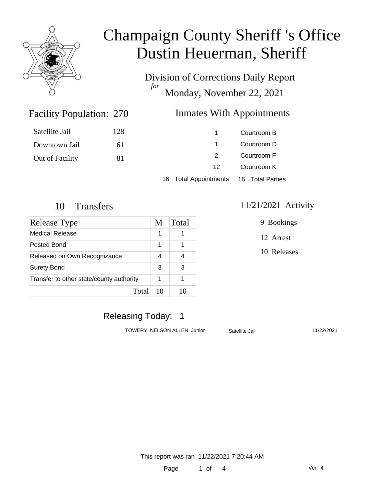

Division of Corrections Daily Report *for* Monday, November 22, 2021

### Facility Population: 270

### **Inmates With Appointments**

| Satellite Jail  | 128 |                                        | Courtroom B |
|-----------------|-----|----------------------------------------|-------------|
| Downtown Jail   | 6 I |                                        | Courtroom D |
| Out of Facility | 81  | 2                                      | Courtroom F |
|                 |     | 12                                     | Courtroom K |
|                 |     | 16 Total Appointments 16 Total Parties |             |

| Release Type                             |    | Total |
|------------------------------------------|----|-------|
| Medical Release                          | 1  |       |
| Posted Bond                              | 1  |       |
| Released on Own Recognizance             | 4  |       |
| <b>Surety Bond</b>                       | 3  | З     |
| Transfer to other state/county authority |    |       |
| Total                                    | 10 | 10    |

#### 10 Transfers 11/21/2021 Activity

9 Bookings

12 Arrest

10 Releases

# Releasing Today: 1

TOWERY, NELSON ALLEN, Junior Satellite Jail 11/22/2021

This report was ran 11/22/2021 7:20:44 AM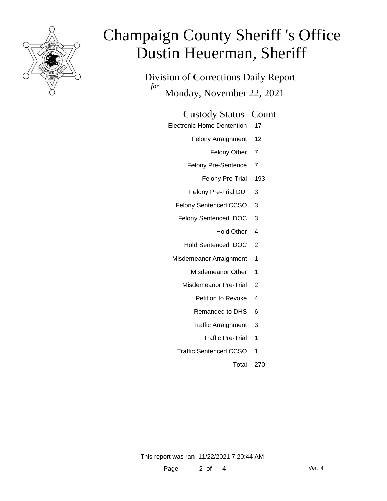

Division of Corrections Daily Report *for* Monday, November 22, 2021

#### Custody Status Count

- Electronic Home Dentention 17
	- Felony Arraignment 12
		- Felony Other 7
	- Felony Pre-Sentence 7
		- Felony Pre-Trial 193
	- Felony Pre-Trial DUI 3
	- Felony Sentenced CCSO 3
	- Felony Sentenced IDOC 3
		- Hold Other 4
		- Hold Sentenced IDOC 2
	- Misdemeanor Arraignment 1
		- Misdemeanor Other 1
		- Misdemeanor Pre-Trial 2
			- Petition to Revoke 4
			- Remanded to DHS 6
			- Traffic Arraignment 3
				- Traffic Pre-Trial 1
		- Traffic Sentenced CCSO 1
			- Total 270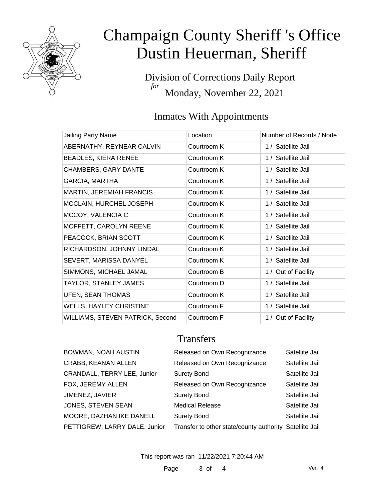

Division of Corrections Daily Report *for* Monday, November 22, 2021

# Inmates With Appointments

| Jailing Party Name               | Location    | Number of Records / Node |
|----------------------------------|-------------|--------------------------|
| ABERNATHY, REYNEAR CALVIN        | Courtroom K | 1 / Satellite Jail       |
| <b>BEADLES, KIERA RENEE</b>      | Courtroom K | 1 / Satellite Jail       |
| <b>CHAMBERS, GARY DANTE</b>      | Courtroom K | 1 / Satellite Jail       |
| <b>GARCIA, MARTHA</b>            | Courtroom K | 1 / Satellite Jail       |
| <b>MARTIN, JEREMIAH FRANCIS</b>  | Courtroom K | 1 / Satellite Jail       |
| MCCLAIN, HURCHEL JOSEPH          | Courtroom K | 1 / Satellite Jail       |
| MCCOY, VALENCIA C                | Courtroom K | 1 / Satellite Jail       |
| MOFFETT, CAROLYN REENE           | Courtroom K | 1 / Satellite Jail       |
| PEACOCK, BRIAN SCOTT             | Courtroom K | 1 / Satellite Jail       |
| RICHARDSON, JOHNNY LINDAL        | Courtroom K | 1 / Satellite Jail       |
| SEVERT, MARISSA DANYEL           | Courtroom K | 1 / Satellite Jail       |
| SIMMONS, MICHAEL JAMAL           | Courtroom B | 1 / Out of Facility      |
| TAYLOR, STANLEY JAMES            | Courtroom D | 1 / Satellite Jail       |
| UFEN, SEAN THOMAS                | Courtroom K | 1 / Satellite Jail       |
| <b>WELLS, HAYLEY CHRISTINE</b>   | Courtroom F | 1 / Satellite Jail       |
| WILLIAMS, STEVEN PATRICK, Second | Courtroom F | 1 / Out of Facility      |

### **Transfers**

| BOWMAN, NOAH AUSTIN           | Released on Own Recognizance                            | Satellite Jail |
|-------------------------------|---------------------------------------------------------|----------------|
| CRABB, KEANAN ALLEN           | Released on Own Recognizance                            | Satellite Jail |
| CRANDALL, TERRY LEE, Junior   | <b>Surety Bond</b>                                      | Satellite Jail |
| FOX, JEREMY ALLEN             | Released on Own Recognizance                            | Satellite Jail |
| JIMENEZ, JAVIER               | <b>Surety Bond</b>                                      | Satellite Jail |
| JONES, STEVEN SEAN            | <b>Medical Release</b>                                  | Satellite Jail |
| MOORE, DAZHAN IKE DANELL      | <b>Surety Bond</b>                                      | Satellite Jail |
| PETTIGREW, LARRY DALE, Junior | Transfer to other state/county authority Satellite Jail |                |
|                               |                                                         |                |

This report was ran 11/22/2021 7:20:44 AM